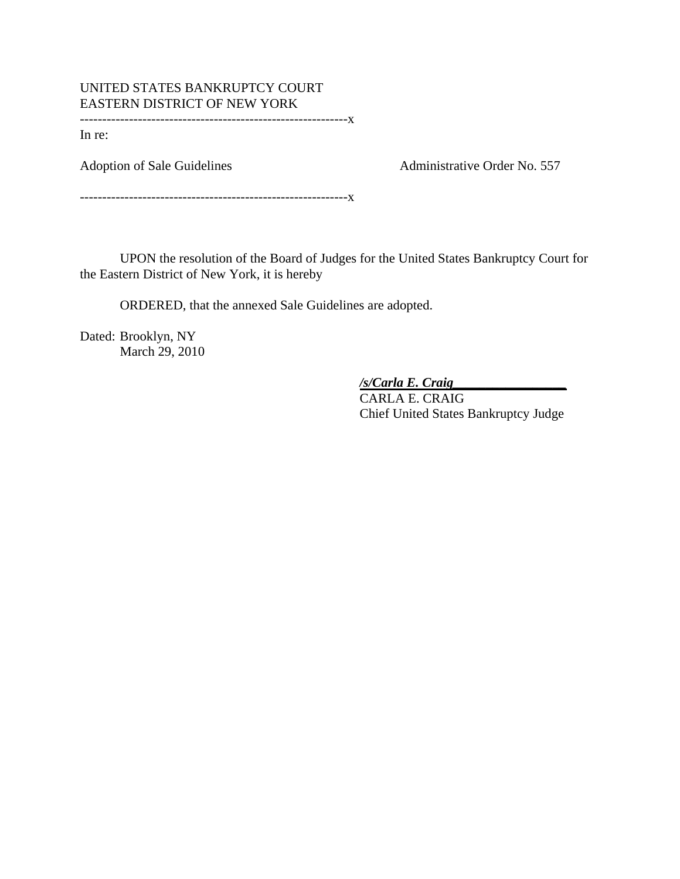# UNITED STATES BANKRUPTCY COURT EASTERN DISTRICT OF NEW YORK

------------------------------------------------------------x

In re:

Adoption of Sale Guidelines Administrative Order No. 557

------------------------------------------------------------x

 UPON the resolution of the Board of Judges for the United States Bankruptcy Court for the Eastern District of New York, it is hereby

ORDERED, that the annexed Sale Guidelines are adopted.

Dated: Brooklyn, NY March 29, 2010

*/s/Carla E. Craig\_\_\_\_\_\_\_\_\_\_\_\_\_\_\_\_\_*

 CARLA E. CRAIG Chief United States Bankruptcy Judge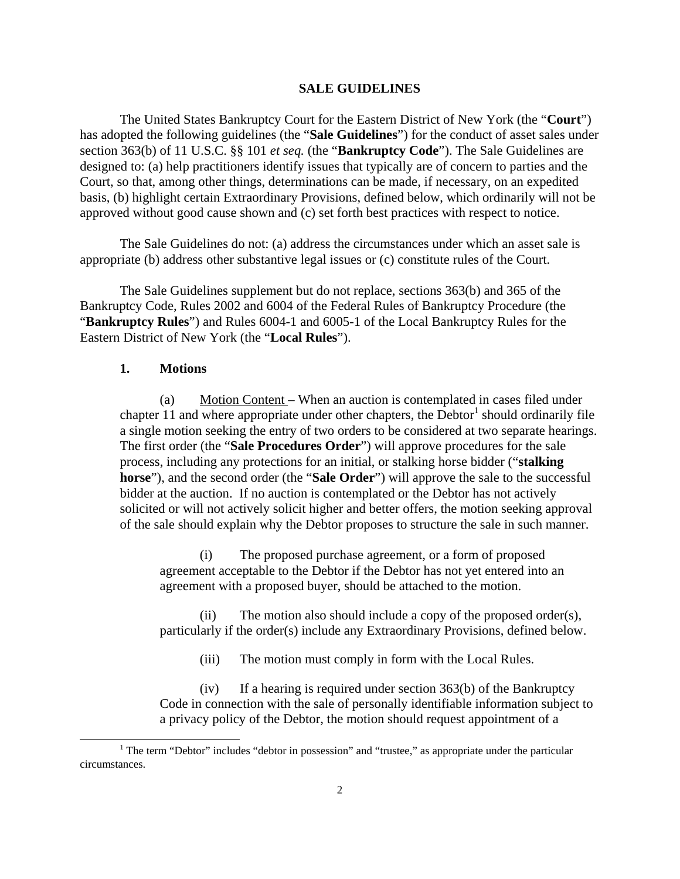#### **SALE GUIDELINES**

The United States Bankruptcy Court for the Eastern District of New York (the "**Court**") has adopted the following guidelines (the "**Sale Guidelines**") for the conduct of asset sales under section 363(b) of 11 U.S.C. §§ 101 *et seq.* (the "**Bankruptcy Code**"). The Sale Guidelines are designed to: (a) help practitioners identify issues that typically are of concern to parties and the Court, so that, among other things, determinations can be made, if necessary, on an expedited basis, (b) highlight certain Extraordinary Provisions, defined below, which ordinarily will not be approved without good cause shown and (c) set forth best practices with respect to notice.

The Sale Guidelines do not: (a) address the circumstances under which an asset sale is appropriate (b) address other substantive legal issues or (c) constitute rules of the Court.

The Sale Guidelines supplement but do not replace, sections 363(b) and 365 of the Bankruptcy Code, Rules 2002 and 6004 of the Federal Rules of Bankruptcy Procedure (the "**Bankruptcy Rules**") and Rules 6004-1 and 6005-1 of the Local Bankruptcy Rules for the Eastern District of New York (the "**Local Rules**").

# **1. Motions**

 (a) Motion Content – When an auction is contemplated in cases filed under chapter 11 and where appropriate under other chapters, the  $\overline{\text{Dektor}}^1$  should ordinarily file a single motion seeking the entry of two orders to be considered at two separate hearings. The first order (the "**Sale Procedures Order**") will approve procedures for the sale process, including any protections for an initial, or stalking horse bidder ("**stalking horse**"), and the second order (the "**Sale Order**") will approve the sale to the successful bidder at the auction. If no auction is contemplated or the Debtor has not actively solicited or will not actively solicit higher and better offers, the motion seeking approval of the sale should explain why the Debtor proposes to structure the sale in such manner.

(i) The proposed purchase agreement, or a form of proposed agreement acceptable to the Debtor if the Debtor has not yet entered into an agreement with a proposed buyer, should be attached to the motion.

(ii) The motion also should include a copy of the proposed order(s), particularly if the order(s) include any Extraordinary Provisions, defined below.

(iii) The motion must comply in form with the Local Rules.

(iv) If a hearing is required under section 363(b) of the Bankruptcy Code in connection with the sale of personally identifiable information subject to a privacy policy of the Debtor, the motion should request appointment of a

<sup>&</sup>lt;u>1</u> <sup>1</sup> The term "Debtor" includes "debtor in possession" and "trustee," as appropriate under the particular circumstances.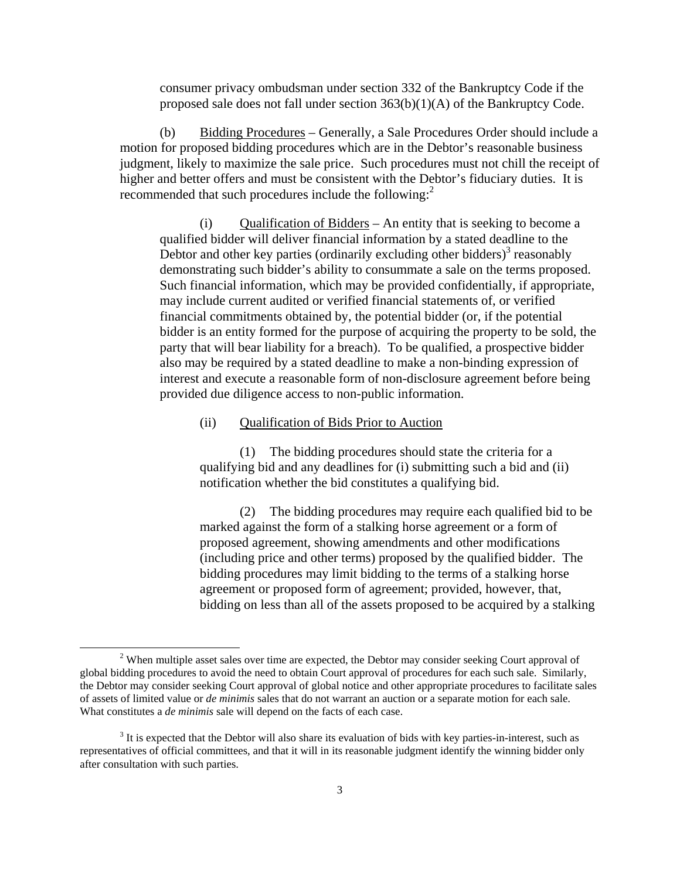consumer privacy ombudsman under section 332 of the Bankruptcy Code if the proposed sale does not fall under section 363(b)(1)(A) of the Bankruptcy Code.

(b) Bidding Procedures – Generally, a Sale Procedures Order should include a motion for proposed bidding procedures which are in the Debtor's reasonable business judgment, likely to maximize the sale price. Such procedures must not chill the receipt of higher and better offers and must be consistent with the Debtor's fiduciary duties. It is recommended that such procedures include the following:<sup>2</sup>

(i) Qualification of Bidders – An entity that is seeking to become a qualified bidder will deliver financial information by a stated deadline to the Debtor and other key parties (ordinarily excluding other bidders) $3$  reasonably demonstrating such bidder's ability to consummate a sale on the terms proposed. Such financial information, which may be provided confidentially, if appropriate, may include current audited or verified financial statements of, or verified financial commitments obtained by, the potential bidder (or, if the potential bidder is an entity formed for the purpose of acquiring the property to be sold, the party that will bear liability for a breach). To be qualified, a prospective bidder also may be required by a stated deadline to make a non-binding expression of interest and execute a reasonable form of non-disclosure agreement before being provided due diligence access to non-public information.

### (ii) Qualification of Bids Prior to Auction

(1) The bidding procedures should state the criteria for a qualifying bid and any deadlines for (i) submitting such a bid and (ii) notification whether the bid constitutes a qualifying bid.

(2) The bidding procedures may require each qualified bid to be marked against the form of a stalking horse agreement or a form of proposed agreement, showing amendments and other modifications (including price and other terms) proposed by the qualified bidder. The bidding procedures may limit bidding to the terms of a stalking horse agreement or proposed form of agreement; provided, however, that, bidding on less than all of the assets proposed to be acquired by a stalking

 $\overline{\phantom{a}}$ <sup>2</sup> When multiple asset sales over time are expected, the Debtor may consider seeking Court approval of global bidding procedures to avoid the need to obtain Court approval of procedures for each such sale. Similarly, the Debtor may consider seeking Court approval of global notice and other appropriate procedures to facilitate sales of assets of limited value or *de minimis* sales that do not warrant an auction or a separate motion for each sale. What constitutes a *de minimis* sale will depend on the facts of each case.

 $3$  It is expected that the Debtor will also share its evaluation of bids with key parties-in-interest, such as representatives of official committees, and that it will in its reasonable judgment identify the winning bidder only after consultation with such parties.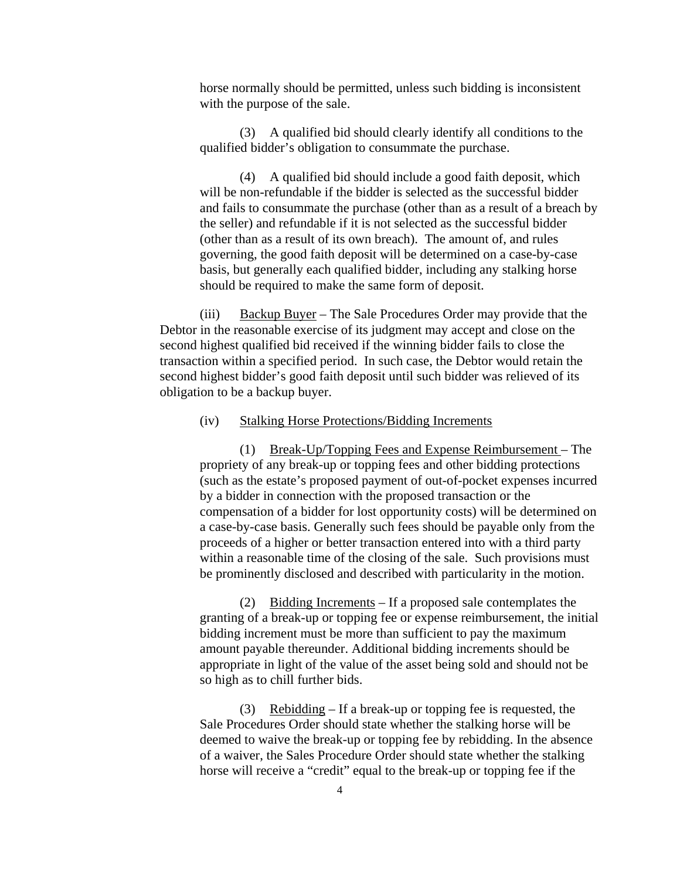horse normally should be permitted, unless such bidding is inconsistent with the purpose of the sale.

(3) A qualified bid should clearly identify all conditions to the qualified bidder's obligation to consummate the purchase.

(4) A qualified bid should include a good faith deposit, which will be non-refundable if the bidder is selected as the successful bidder and fails to consummate the purchase (other than as a result of a breach by the seller) and refundable if it is not selected as the successful bidder (other than as a result of its own breach). The amount of, and rules governing, the good faith deposit will be determined on a case-by-case basis, but generally each qualified bidder, including any stalking horse should be required to make the same form of deposit.

(iii) Backup Buyer – The Sale Procedures Order may provide that the Debtor in the reasonable exercise of its judgment may accept and close on the second highest qualified bid received if the winning bidder fails to close the transaction within a specified period. In such case, the Debtor would retain the second highest bidder's good faith deposit until such bidder was relieved of its obligation to be a backup buyer.

# (iv) Stalking Horse Protections/Bidding Increments

(1) Break-Up/Topping Fees and Expense Reimbursement – The propriety of any break-up or topping fees and other bidding protections (such as the estate's proposed payment of out-of-pocket expenses incurred by a bidder in connection with the proposed transaction or the compensation of a bidder for lost opportunity costs) will be determined on a case-by-case basis. Generally such fees should be payable only from the proceeds of a higher or better transaction entered into with a third party within a reasonable time of the closing of the sale. Such provisions must be prominently disclosed and described with particularity in the motion.

(2) Bidding Increments – If a proposed sale contemplates the granting of a break-up or topping fee or expense reimbursement, the initial bidding increment must be more than sufficient to pay the maximum amount payable thereunder. Additional bidding increments should be appropriate in light of the value of the asset being sold and should not be so high as to chill further bids.

(3) Rebidding – If a break-up or topping fee is requested, the Sale Procedures Order should state whether the stalking horse will be deemed to waive the break-up or topping fee by rebidding. In the absence of a waiver, the Sales Procedure Order should state whether the stalking horse will receive a "credit" equal to the break-up or topping fee if the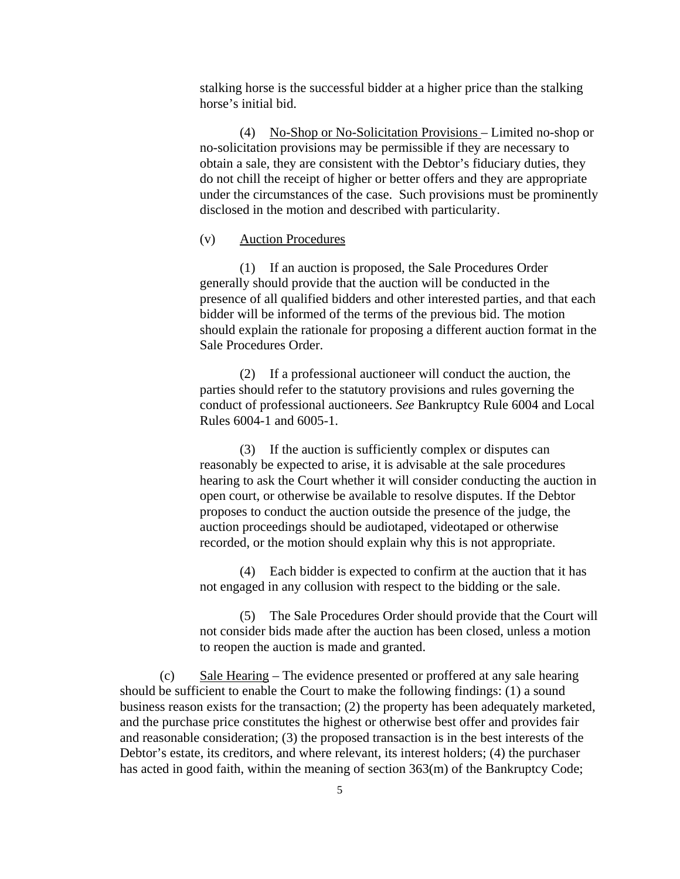stalking horse is the successful bidder at a higher price than the stalking horse's initial bid.

(4) No-Shop or No-Solicitation Provisions – Limited no-shop or no-solicitation provisions may be permissible if they are necessary to obtain a sale, they are consistent with the Debtor's fiduciary duties, they do not chill the receipt of higher or better offers and they are appropriate under the circumstances of the case. Such provisions must be prominently disclosed in the motion and described with particularity.

## (v) Auction Procedures

(1) If an auction is proposed, the Sale Procedures Order generally should provide that the auction will be conducted in the presence of all qualified bidders and other interested parties, and that each bidder will be informed of the terms of the previous bid. The motion should explain the rationale for proposing a different auction format in the Sale Procedures Order.

(2) If a professional auctioneer will conduct the auction, the parties should refer to the statutory provisions and rules governing the conduct of professional auctioneers. *See* Bankruptcy Rule 6004 and Local Rules 6004-1 and 6005-1.

(3) If the auction is sufficiently complex or disputes can reasonably be expected to arise, it is advisable at the sale procedures hearing to ask the Court whether it will consider conducting the auction in open court, or otherwise be available to resolve disputes. If the Debtor proposes to conduct the auction outside the presence of the judge, the auction proceedings should be audiotaped, videotaped or otherwise recorded, or the motion should explain why this is not appropriate.

(4) Each bidder is expected to confirm at the auction that it has not engaged in any collusion with respect to the bidding or the sale.

(5) The Sale Procedures Order should provide that the Court will not consider bids made after the auction has been closed, unless a motion to reopen the auction is made and granted.

(c) Sale Hearing – The evidence presented or proffered at any sale hearing should be sufficient to enable the Court to make the following findings: (1) a sound business reason exists for the transaction; (2) the property has been adequately marketed, and the purchase price constitutes the highest or otherwise best offer and provides fair and reasonable consideration; (3) the proposed transaction is in the best interests of the Debtor's estate, its creditors, and where relevant, its interest holders; (4) the purchaser has acted in good faith, within the meaning of section 363(m) of the Bankruptcy Code;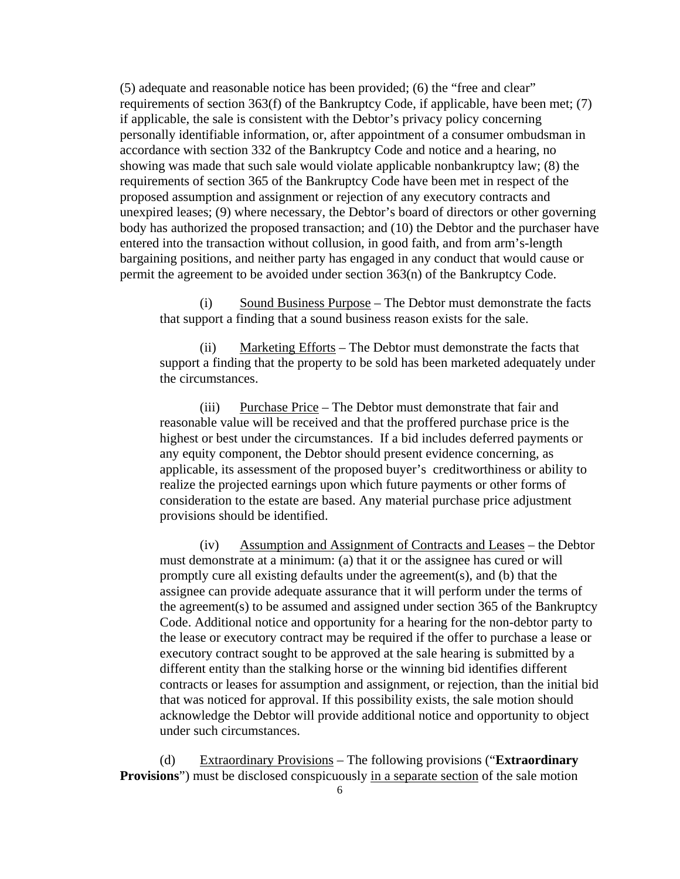(5) adequate and reasonable notice has been provided; (6) the "free and clear" requirements of section 363(f) of the Bankruptcy Code, if applicable, have been met; (7) if applicable, the sale is consistent with the Debtor's privacy policy concerning personally identifiable information, or, after appointment of a consumer ombudsman in accordance with section 332 of the Bankruptcy Code and notice and a hearing, no showing was made that such sale would violate applicable nonbankruptcy law; (8) the requirements of section 365 of the Bankruptcy Code have been met in respect of the proposed assumption and assignment or rejection of any executory contracts and unexpired leases; (9) where necessary, the Debtor's board of directors or other governing body has authorized the proposed transaction; and (10) the Debtor and the purchaser have entered into the transaction without collusion, in good faith, and from arm's-length bargaining positions, and neither party has engaged in any conduct that would cause or permit the agreement to be avoided under section 363(n) of the Bankruptcy Code.

(i) Sound Business Purpose – The Debtor must demonstrate the facts that support a finding that a sound business reason exists for the sale.

(ii) Marketing Efforts – The Debtor must demonstrate the facts that support a finding that the property to be sold has been marketed adequately under the circumstances.

(iii) Purchase Price – The Debtor must demonstrate that fair and reasonable value will be received and that the proffered purchase price is the highest or best under the circumstances. If a bid includes deferred payments or any equity component, the Debtor should present evidence concerning, as applicable, its assessment of the proposed buyer's creditworthiness or ability to realize the projected earnings upon which future payments or other forms of consideration to the estate are based. Any material purchase price adjustment provisions should be identified.

(iv) Assumption and Assignment of Contracts and Leases – the Debtor must demonstrate at a minimum: (a) that it or the assignee has cured or will promptly cure all existing defaults under the agreement(s), and (b) that the assignee can provide adequate assurance that it will perform under the terms of the agreement(s) to be assumed and assigned under section 365 of the Bankruptcy Code. Additional notice and opportunity for a hearing for the non-debtor party to the lease or executory contract may be required if the offer to purchase a lease or executory contract sought to be approved at the sale hearing is submitted by a different entity than the stalking horse or the winning bid identifies different contracts or leases for assumption and assignment, or rejection, than the initial bid that was noticed for approval. If this possibility exists, the sale motion should acknowledge the Debtor will provide additional notice and opportunity to object under such circumstances.

(d) Extraordinary Provisions – The following provisions ("**Extraordinary Provisions**") must be disclosed conspicuously in a separate section of the sale motion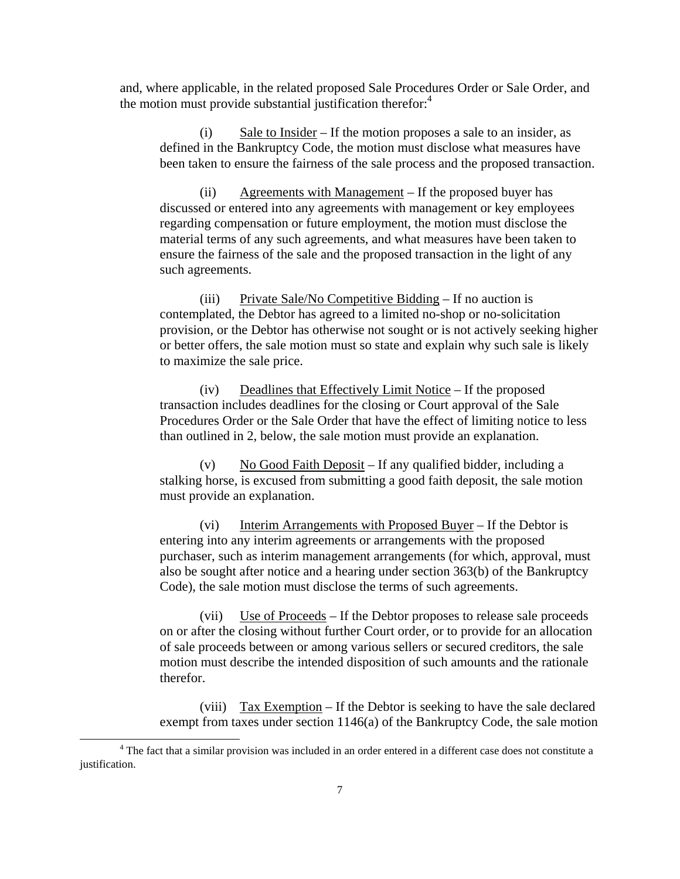and, where applicable, in the related proposed Sale Procedures Order or Sale Order, and the motion must provide substantial justification therefor:<sup>4</sup>

(i) Sale to Insider – If the motion proposes a sale to an insider, as defined in the Bankruptcy Code, the motion must disclose what measures have been taken to ensure the fairness of the sale process and the proposed transaction.

(ii) Agreements with Management – If the proposed buyer has discussed or entered into any agreements with management or key employees regarding compensation or future employment, the motion must disclose the material terms of any such agreements, and what measures have been taken to ensure the fairness of the sale and the proposed transaction in the light of any such agreements.

(iii) Private Sale/No Competitive Bidding – If no auction is contemplated, the Debtor has agreed to a limited no-shop or no-solicitation provision, or the Debtor has otherwise not sought or is not actively seeking higher or better offers, the sale motion must so state and explain why such sale is likely to maximize the sale price.

(iv) Deadlines that Effectively Limit Notice – If the proposed transaction includes deadlines for the closing or Court approval of the Sale Procedures Order or the Sale Order that have the effect of limiting notice to less than outlined in 2, below, the sale motion must provide an explanation.

No Good Faith Deposit – If any qualified bidder, including a stalking horse, is excused from submitting a good faith deposit, the sale motion must provide an explanation.

(vi) Interim Arrangements with Proposed Buyer – If the Debtor is entering into any interim agreements or arrangements with the proposed purchaser, such as interim management arrangements (for which, approval, must also be sought after notice and a hearing under section 363(b) of the Bankruptcy Code), the sale motion must disclose the terms of such agreements.

(vii) Use of Proceeds – If the Debtor proposes to release sale proceeds on or after the closing without further Court order, or to provide for an allocation of sale proceeds between or among various sellers or secured creditors, the sale motion must describe the intended disposition of such amounts and the rationale therefor.

(viii) Tax Exemption – If the Debtor is seeking to have the sale declared exempt from taxes under section 1146(a) of the Bankruptcy Code, the sale motion

 $\overline{a}$ <sup>4</sup> The fact that a similar provision was included in an order entered in a different case does not constitute a justification.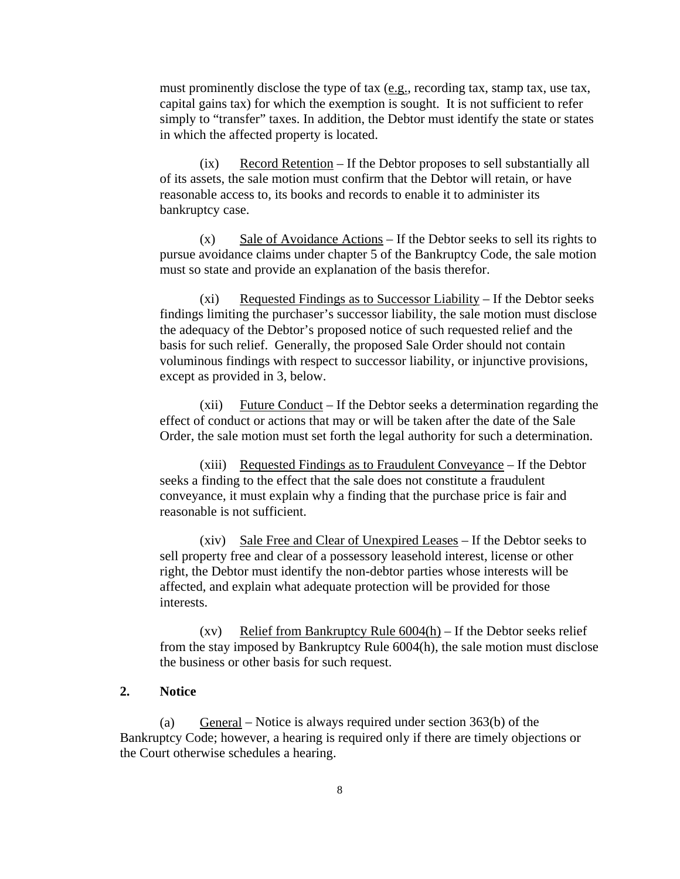must prominently disclose the type of tax  $(\underline{e.g.})$ , recording tax, stamp tax, use tax, capital gains tax) for which the exemption is sought. It is not sufficient to refer simply to "transfer" taxes. In addition, the Debtor must identify the state or states in which the affected property is located.

(ix) Record Retention – If the Debtor proposes to sell substantially all of its assets, the sale motion must confirm that the Debtor will retain, or have reasonable access to, its books and records to enable it to administer its bankruptcy case.

 $(x)$  Sale of Avoidance Actions – If the Debtor seeks to sell its rights to pursue avoidance claims under chapter 5 of the Bankruptcy Code, the sale motion must so state and provide an explanation of the basis therefor.

 $(xi)$  Requested Findings as to Successor Liability – If the Debtor seeks findings limiting the purchaser's successor liability, the sale motion must disclose the adequacy of the Debtor's proposed notice of such requested relief and the basis for such relief. Generally, the proposed Sale Order should not contain voluminous findings with respect to successor liability, or injunctive provisions, except as provided in 3, below.

(xii) Future Conduct – If the Debtor seeks a determination regarding the effect of conduct or actions that may or will be taken after the date of the Sale Order, the sale motion must set forth the legal authority for such a determination.

(xiii) Requested Findings as to Fraudulent Conveyance – If the Debtor seeks a finding to the effect that the sale does not constitute a fraudulent conveyance, it must explain why a finding that the purchase price is fair and reasonable is not sufficient.

(xiv) Sale Free and Clear of Unexpired Leases – If the Debtor seeks to sell property free and clear of a possessory leasehold interest, license or other right, the Debtor must identify the non-debtor parties whose interests will be affected, and explain what adequate protection will be provided for those interests.

(xv) Relief from Bankruptcy Rule  $6004(h)$  – If the Debtor seeks relief from the stay imposed by Bankruptcy Rule 6004(h), the sale motion must disclose the business or other basis for such request.

# **2. Notice**

(a) General – Notice is always required under section  $363(b)$  of the Bankruptcy Code; however, a hearing is required only if there are timely objections or the Court otherwise schedules a hearing.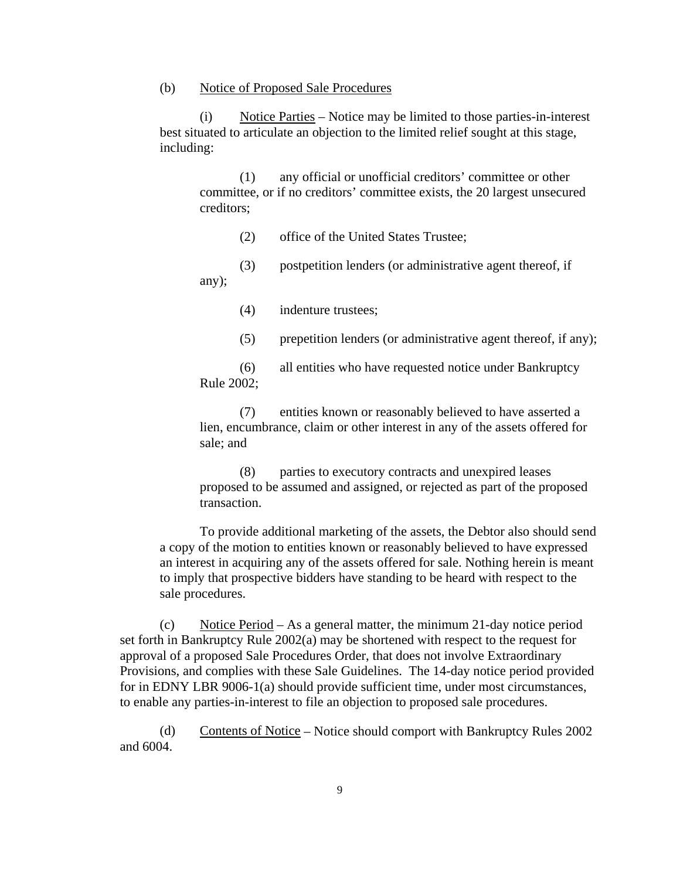#### (b) Notice of Proposed Sale Procedures

(i) Notice Parties – Notice may be limited to those parties-in-interest best situated to articulate an objection to the limited relief sought at this stage, including:

(1) any official or unofficial creditors' committee or other committee, or if no creditors' committee exists, the 20 largest unsecured creditors;

(2) office of the United States Trustee;

(3) postpetition lenders (or administrative agent thereof, if any);

(4) indenture trustees;

(5) prepetition lenders (or administrative agent thereof, if any);

(6) all entities who have requested notice under Bankruptcy Rule 2002;

(7) entities known or reasonably believed to have asserted a lien, encumbrance, claim or other interest in any of the assets offered for sale; and

(8) parties to executory contracts and unexpired leases proposed to be assumed and assigned, or rejected as part of the proposed transaction.

To provide additional marketing of the assets, the Debtor also should send a copy of the motion to entities known or reasonably believed to have expressed an interest in acquiring any of the assets offered for sale. Nothing herein is meant to imply that prospective bidders have standing to be heard with respect to the sale procedures.

(c) Notice Period – As a general matter, the minimum 21-day notice period set forth in Bankruptcy Rule 2002(a) may be shortened with respect to the request for approval of a proposed Sale Procedures Order, that does not involve Extraordinary Provisions, and complies with these Sale Guidelines. The 14-day notice period provided for in EDNY LBR 9006-1(a) should provide sufficient time, under most circumstances, to enable any parties-in-interest to file an objection to proposed sale procedures.

(d) Contents of Notice – Notice should comport with Bankruptcy Rules 2002 and 6004.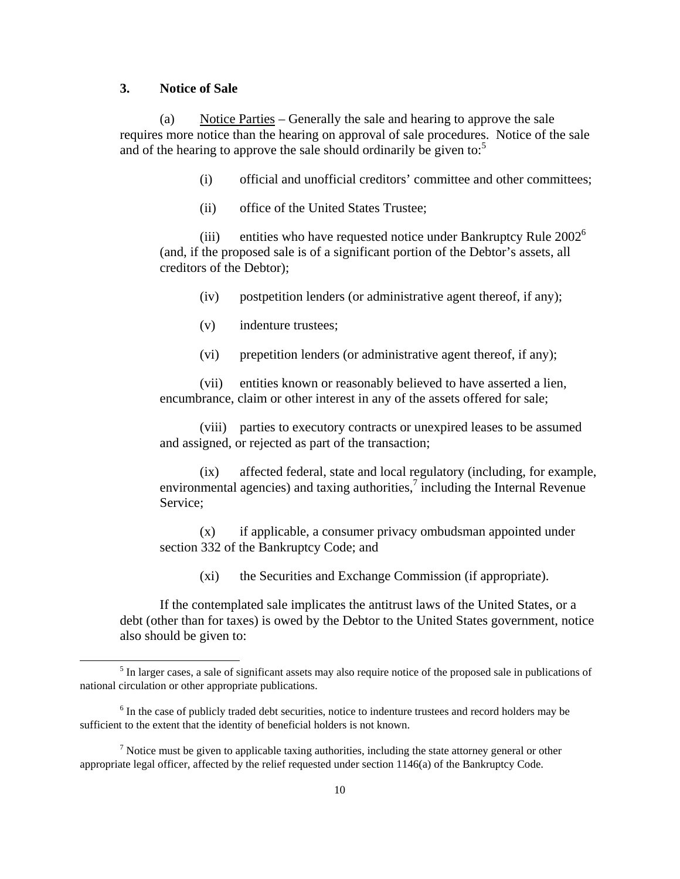# **3. Notice of Sale**

(a) Notice Parties – Generally the sale and hearing to approve the sale requires more notice than the hearing on approval of sale procedures. Notice of the sale and of the hearing to approve the sale should ordinarily be given to:<sup>5</sup>

- (i) official and unofficial creditors' committee and other committees;
- (ii) office of the United States Trustee;

(iii) entities who have requested notice under Bankruptcy Rule  $2002^6$ (and, if the proposed sale is of a significant portion of the Debtor's assets, all creditors of the Debtor);

- (iv) postpetition lenders (or administrative agent thereof, if any);
- (v) indenture trustees;
- (vi) prepetition lenders (or administrative agent thereof, if any);

(vii) entities known or reasonably believed to have asserted a lien, encumbrance, claim or other interest in any of the assets offered for sale;

(viii) parties to executory contracts or unexpired leases to be assumed and assigned, or rejected as part of the transaction;

(ix) affected federal, state and local regulatory (including, for example, environmental agencies) and taxing authorities, $\frac{7}{1}$  including the Internal Revenue Service;

(x) if applicable, a consumer privacy ombudsman appointed under section 332 of the Bankruptcy Code; and

(xi) the Securities and Exchange Commission (if appropriate).

If the contemplated sale implicates the antitrust laws of the United States, or a debt (other than for taxes) is owed by the Debtor to the United States government, notice also should be given to:

 $\frac{1}{5}$ <sup>5</sup> In larger cases, a sale of significant assets may also require notice of the proposed sale in publications of national circulation or other appropriate publications.

<sup>&</sup>lt;sup>6</sup> In the case of publicly traded debt securities, notice to indenture trustees and record holders may be sufficient to the extent that the identity of beneficial holders is not known.

 $<sup>7</sup>$  Notice must be given to applicable taxing authorities, including the state attorney general or other</sup> appropriate legal officer, affected by the relief requested under section 1146(a) of the Bankruptcy Code.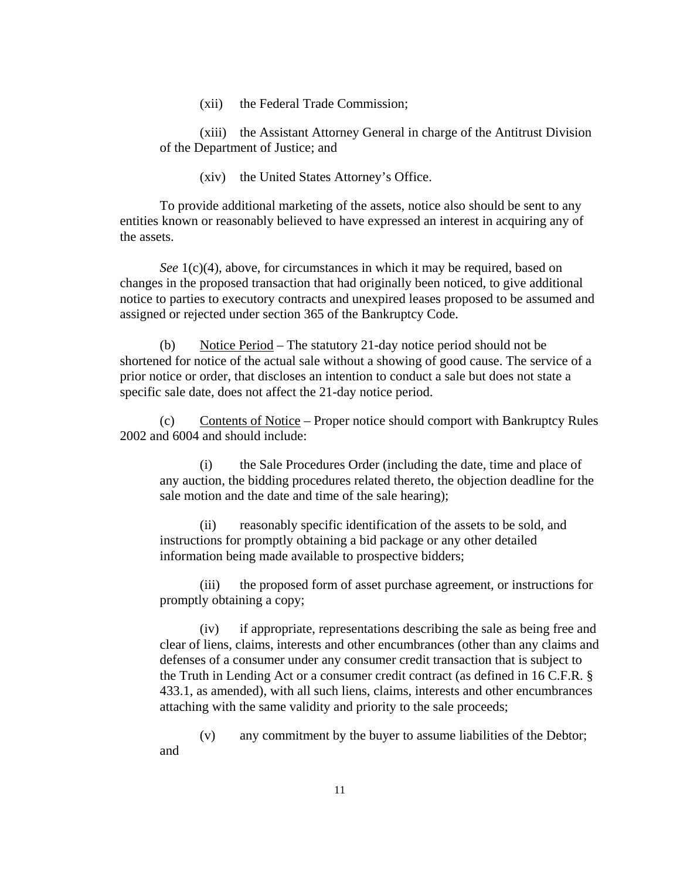(xii) the Federal Trade Commission;

(xiii) the Assistant Attorney General in charge of the Antitrust Division of the Department of Justice; and

(xiv) the United States Attorney's Office.

To provide additional marketing of the assets, notice also should be sent to any entities known or reasonably believed to have expressed an interest in acquiring any of the assets.

*See* 1(c)(4), above, for circumstances in which it may be required, based on changes in the proposed transaction that had originally been noticed, to give additional notice to parties to executory contracts and unexpired leases proposed to be assumed and assigned or rejected under section 365 of the Bankruptcy Code.

(b) Notice Period – The statutory 21-day notice period should not be shortened for notice of the actual sale without a showing of good cause. The service of a prior notice or order, that discloses an intention to conduct a sale but does not state a specific sale date, does not affect the 21-day notice period.

(c) Contents of Notice – Proper notice should comport with Bankruptcy Rules 2002 and 6004 and should include:

(i) the Sale Procedures Order (including the date, time and place of any auction, the bidding procedures related thereto, the objection deadline for the sale motion and the date and time of the sale hearing);

(ii) reasonably specific identification of the assets to be sold, and instructions for promptly obtaining a bid package or any other detailed information being made available to prospective bidders;

(iii) the proposed form of asset purchase agreement, or instructions for promptly obtaining a copy;

(iv) if appropriate, representations describing the sale as being free and clear of liens, claims, interests and other encumbrances (other than any claims and defenses of a consumer under any consumer credit transaction that is subject to the Truth in Lending Act or a consumer credit contract (as defined in 16 C.F.R. § 433.1, as amended), with all such liens, claims, interests and other encumbrances attaching with the same validity and priority to the sale proceeds;

(v) any commitment by the buyer to assume liabilities of the Debtor; and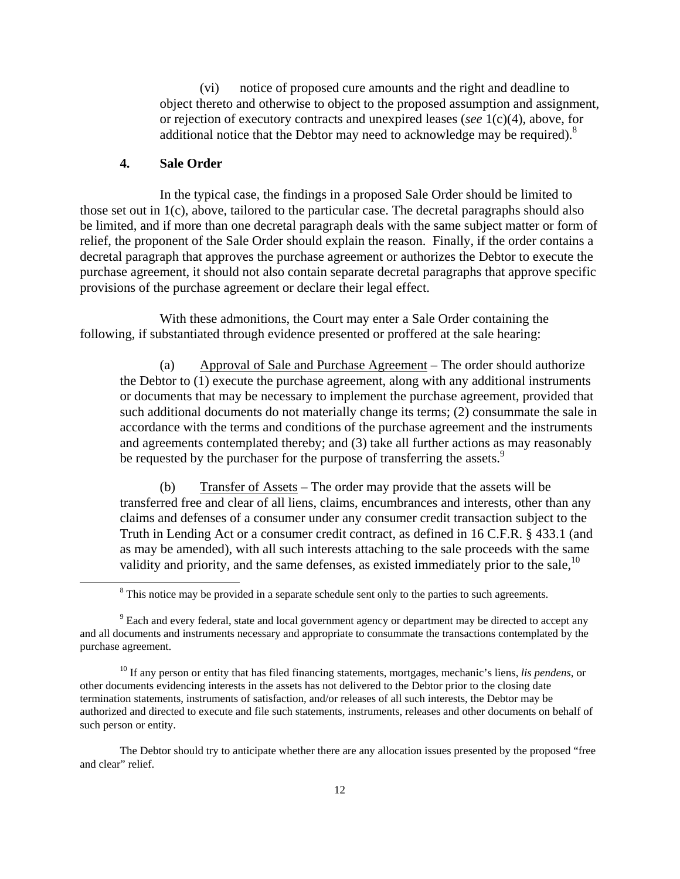(vi) notice of proposed cure amounts and the right and deadline to object thereto and otherwise to object to the proposed assumption and assignment, or rejection of executory contracts and unexpired leases (*see* 1(c)(4), above, for additional notice that the Debtor may need to acknowledge may be required).<sup>8</sup>

#### **4. Sale Order**

In the typical case, the findings in a proposed Sale Order should be limited to those set out in 1(c), above, tailored to the particular case. The decretal paragraphs should also be limited, and if more than one decretal paragraph deals with the same subject matter or form of relief, the proponent of the Sale Order should explain the reason. Finally, if the order contains a decretal paragraph that approves the purchase agreement or authorizes the Debtor to execute the purchase agreement, it should not also contain separate decretal paragraphs that approve specific provisions of the purchase agreement or declare their legal effect.

With these admonitions, the Court may enter a Sale Order containing the following, if substantiated through evidence presented or proffered at the sale hearing:

(a) Approval of Sale and Purchase Agreement – The order should authorize the Debtor to (1) execute the purchase agreement, along with any additional instruments or documents that may be necessary to implement the purchase agreement, provided that such additional documents do not materially change its terms; (2) consummate the sale in accordance with the terms and conditions of the purchase agreement and the instruments and agreements contemplated thereby; and (3) take all further actions as may reasonably be requested by the purchaser for the purpose of transferring the assets.<sup>9</sup>

(b)  $\frac{3}{2}$  Transfer of Assets – The order may provide that the assets will be transferred free and clear of all liens, claims, encumbrances and interests, other than any claims and defenses of a consumer under any consumer credit transaction subject to the Truth in Lending Act or a consumer credit contract, as defined in 16 C.F.R. § 433.1 (and as may be amended), with all such interests attaching to the sale proceeds with the same validity and priority, and the same defenses, as existed immediately prior to the sale.<sup>10</sup>

 <sup>8</sup> <sup>8</sup> This notice may be provided in a separate schedule sent only to the parties to such agreements.

<sup>&</sup>lt;sup>9</sup> Each and every federal, state and local government agency or department may be directed to accept any and all documents and instruments necessary and appropriate to consummate the transactions contemplated by the purchase agreement.

<sup>10</sup> If any person or entity that has filed financing statements, mortgages, mechanic's liens, *lis pendens*, or other documents evidencing interests in the assets has not delivered to the Debtor prior to the closing date termination statements, instruments of satisfaction, and/or releases of all such interests, the Debtor may be authorized and directed to execute and file such statements, instruments, releases and other documents on behalf of such person or entity.

The Debtor should try to anticipate whether there are any allocation issues presented by the proposed "free and clear" relief.